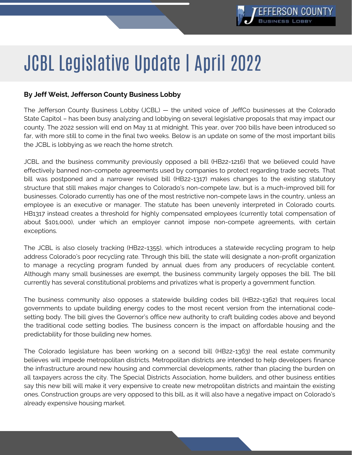

## JCBL Legislative Update | April 2022

## **By Jeff Weist, Jefferson County Business Lobby**

The Jefferson County Business Lobby (JCBL) — the united voice of JeffCo businesses at the Colorado State Capitol – has been busy analyzing and lobbying on several legislative proposals that may impact our county. The 2022 session will end on May 11 at midnight. This year, over 700 bills have been introduced so far, with more still to come in the final two weeks. Below is an update on some of the most important bills the JCBL is lobbying as we reach the home stretch.

JCBL and the business community previously opposed a bill (HB22-1216) that we believed could have effectively banned non-compete agreements used by companies to protect regarding trade secrets. That bill was postponed and a narrower revised bill (HB22-1317) makes changes to the existing statutory structure that still makes major changes to Colorado's non-compete law, but is a much-improved bill for businesses. Colorado currently has one of the most restrictive non-compete laws in the country, unless an employee is an executive or manager. The statute has been unevenly interpreted in Colorado courts. HB1317 instead creates a threshold for highly compensated employees (currently total compensation of about \$101,000), under which an employer cannot impose non-compete agreements, with certain exceptions.

The JCBL is also closely tracking (HB22-1355), which introduces a statewide recycling program to help address Colorado's poor recycling rate. Through this bill, the state will designate a non-profit organization to manage a recycling program funded by annual dues from any producers of recyclable content. Although many small businesses are exempt, the business community largely opposes the bill. The bill currently has several constitutional problems and privatizes what is properly a government function.

The business community also opposes a statewide building codes bill (HB22-1362) that requires local governments to update building energy codes to the most recent version from the international codesetting body. The bill gives the Governor's office new authority to craft building codes above and beyond the traditional code setting bodies. The business concern is the impact on affordable housing and the predictability for those building new homes.

The Colorado legislature has been working on a second bill (HB22-1363) the real estate community believes will impede metropolitan districts. Metropolitan districts are intended to help developers finance the infrastructure around new housing and commercial developments, rather than placing the burden on all taxpayers across the city. The Special Districts Association, home builders, and other business entities say this new bill will make it very expensive to create new metropolitan districts and maintain the existing ones. Construction groups are very opposed to this bill, as it will also have a negative impact on Colorado's already expensive housing market.